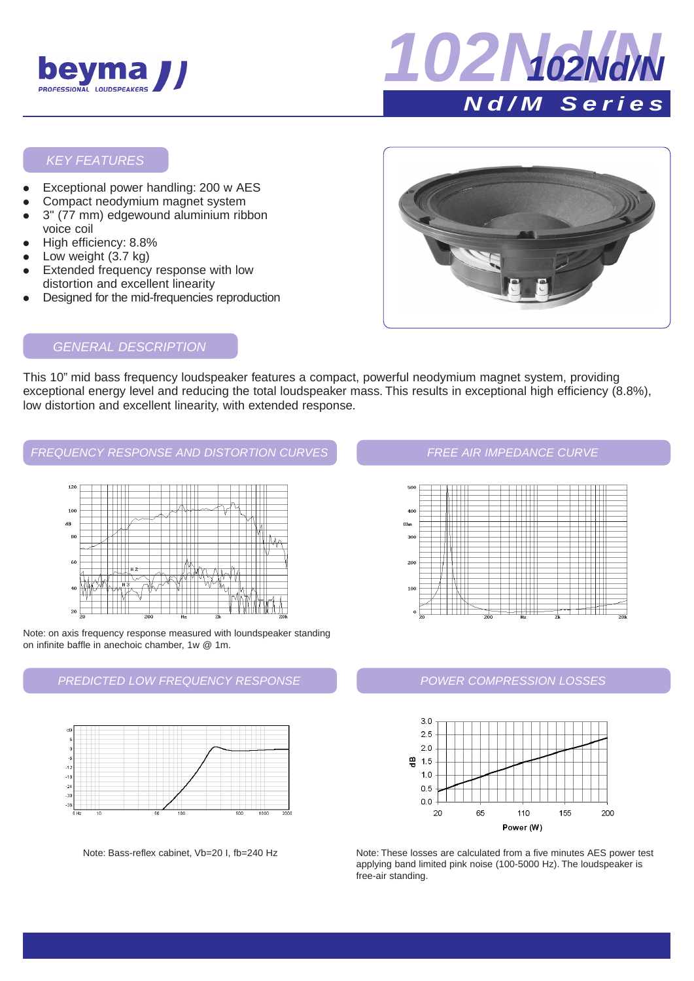



## KEY FEATURES

- Exceptional power handling: 200 w AES
- Compact neodymium magnet system 3" (77 mm) edgewound aluminium ribbon
- voice coil
- High efficiency: 8.8%
- Low weight  $(3.7 \text{ kg})$
- Extended frequency response with low distortion and excellent linearity
- Designed for the mid-frequencies reproduction



# GENERAL DESCRIPTION

This 10" mid bass frequency loudspeaker features a compact, powerful neodymium magnet system, providing exceptional energy level and reducing the total loudspeaker mass. This results in exceptional high efficiency (8.8%), low distortion and excellent linearity, with extended response.

# FREQUENCY RESPONSE AND DISTORTION CURVES **FREE AIR IMPEDANCE CURVE**



Note: on axis frequency response measured with loundspeaker standing on infinite baffle in anechoic chamber, 1w @ 1m.

# PREDICTED LOW FREQUENCY RESPONSE



Note: Bass-reflex cabinet, Vb=20 I, fb=240 Hz



# POWER COMPRESSION LOSSES



Note: These losses are calculated from a five minutes AES power test applying band limited pink noise (100-5000 Hz). The loudspeaker is free-air standing.